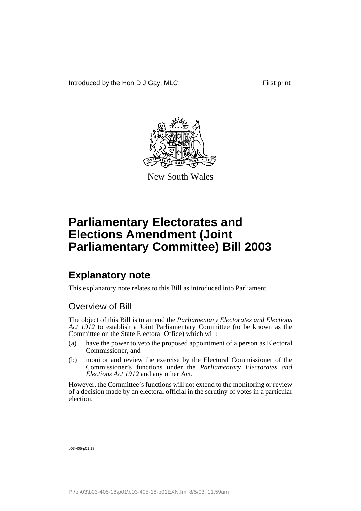

New South Wales

## **Explanatory note**

This explanatory note relates to this Bill as introduced into Parliament.

## Overview of Bill

The object of this Bill is to amend the *Parliamentary Electorates and Elections Act 1912* to establish a Joint Parliamentary Committee (to be known as the Committee on the State Electoral Office) which will:

- (a) have the power to veto the proposed appointment of a person as Electoral Commissioner, and
- (b) monitor and review the exercise by the Electoral Commissioner of the Commissioner's functions under the *Parliamentary Electorates and Elections Act 1912* and any other Act.

However, the Committee's functions will not extend to the monitoring or review of a decision made by an electoral official in the scrutiny of votes in a particular election.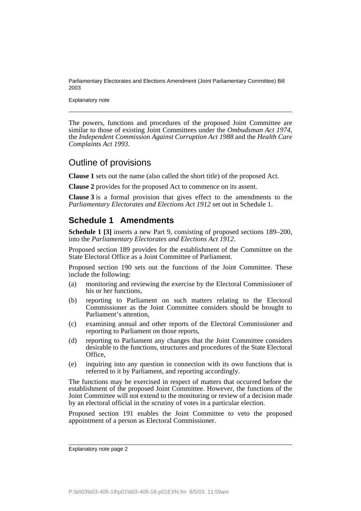Explanatory note

The powers, functions and procedures of the proposed Joint Committee are similar to those of existing Joint Committees under the *Ombudsman Act 1974*, the *Independent Commission Against Corruption Act 1988* and the *Health Care Complaints Act 1993*.

## Outline of provisions

**Clause 1** sets out the name (also called the short title) of the proposed Act.

**Clause 2** provides for the proposed Act to commence on its assent.

**Clause 3** is a formal provision that gives effect to the amendments to the *Parliamentary Electorates and Elections Act 1912* set out in Schedule 1.

### **Schedule 1 Amendments**

**Schedule 1 [3]** inserts a new Part 9, consisting of proposed sections 189–200, into the *Parliamentary Electorates and Elections Act 1912*.

Proposed section 189 provides for the establishment of the Committee on the State Electoral Office as a Joint Committee of Parliament.

Proposed section 190 sets out the functions of the Joint Committee. These include the following:

- (a) monitoring and reviewing the exercise by the Electoral Commissioner of his or her functions,
- (b) reporting to Parliament on such matters relating to the Electoral Commissioner as the Joint Committee considers should be brought to Parliament's attention,
- (c) examining annual and other reports of the Electoral Commissioner and reporting to Parliament on those reports,
- (d) reporting to Parliament any changes that the Joint Committee considers desirable to the functions, structures and procedures of the State Electoral Office,
- (e) inquiring into any question in connection with its own functions that is referred to it by Parliament, and reporting accordingly.

The functions may be exercised in respect of matters that occurred before the establishment of the proposed Joint Committee. However, the functions of the Joint Committee will not extend to the monitoring or review of a decision made by an electoral official in the scrutiny of votes in a particular election.

Proposed section 191 enables the Joint Committee to veto the proposed appointment of a person as Electoral Commissioner.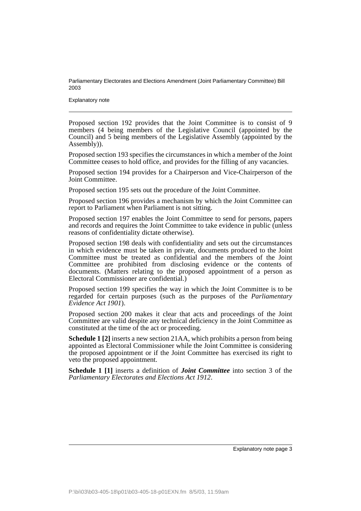Explanatory note

Proposed section 192 provides that the Joint Committee is to consist of 9 members (4 being members of the Legislative Council (appointed by the Council) and 5 being members of the Legislative Assembly (appointed by the Assembly)).

Proposed section 193 specifies the circumstances in which a member of the Joint Committee ceases to hold office, and provides for the filling of any vacancies.

Proposed section 194 provides for a Chairperson and Vice-Chairperson of the Joint Committee.

Proposed section 195 sets out the procedure of the Joint Committee.

Proposed section 196 provides a mechanism by which the Joint Committee can report to Parliament when Parliament is not sitting.

Proposed section 197 enables the Joint Committee to send for persons, papers and records and requires the Joint Committee to take evidence in public (unless reasons of confidentiality dictate otherwise).

Proposed section 198 deals with confidentiality and sets out the circumstances in which evidence must be taken in private, documents produced to the Joint Committee must be treated as confidential and the members of the Joint Committee are prohibited from disclosing evidence or the contents of documents. (Matters relating to the proposed appointment of a person as Electoral Commissioner are confidential.)

Proposed section 199 specifies the way in which the Joint Committee is to be regarded for certain purposes (such as the purposes of the *Parliamentary Evidence Act 1901*).

Proposed section 200 makes it clear that acts and proceedings of the Joint Committee are valid despite any technical deficiency in the Joint Committee as constituted at the time of the act or proceeding.

**Schedule 1 [2]** inserts a new section 21AA, which prohibits a person from being appointed as Electoral Commissioner while the Joint Committee is considering the proposed appointment or if the Joint Committee has exercised its right to veto the proposed appointment.

**Schedule 1 [1]** inserts a definition of *Joint Committee* into section 3 of the *Parliamentary Electorates and Elections Act 1912*.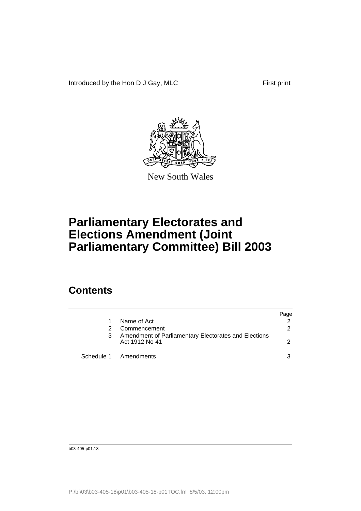Introduced by the Hon D J Gay, MLC First print



New South Wales

# **Parliamentary Electorates and Elections Amendment (Joint Parliamentary Committee) Bill 2003**

## **Contents**

|   |                                                                        | Page |
|---|------------------------------------------------------------------------|------|
|   | Name of Act                                                            |      |
|   | Commencement                                                           |      |
| 3 | Amendment of Parliamentary Electorates and Elections<br>Act 1912 No 41 |      |
|   | Schedule 1 Amendments                                                  |      |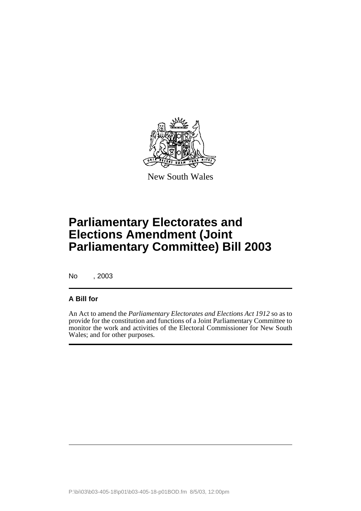

New South Wales

No , 2003

### **A Bill for**

An Act to amend the *Parliamentary Electorates and Elections Act 1912* so as to provide for the constitution and functions of a Joint Parliamentary Committee to monitor the work and activities of the Electoral Commissioner for New South Wales; and for other purposes.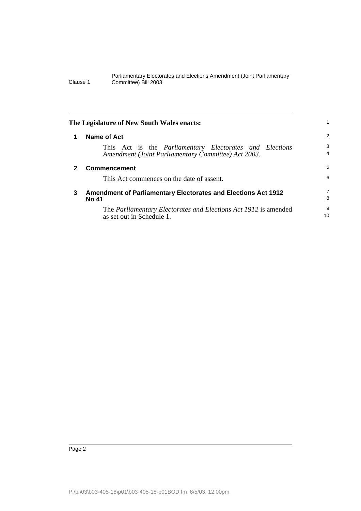<span id="page-7-2"></span><span id="page-7-1"></span><span id="page-7-0"></span>

|   | The Legislature of New South Wales enacts:                                                                            |                     |
|---|-----------------------------------------------------------------------------------------------------------------------|---------------------|
|   | Name of Act                                                                                                           | 2                   |
|   | This Act is the <i>Parliamentary Electorates and Elections</i><br>Amendment (Joint Parliamentary Committee) Act 2003. | 3<br>$\overline{4}$ |
| 2 | <b>Commencement</b>                                                                                                   | 5                   |
|   | This Act commences on the date of assent.                                                                             | 6                   |
| 3 | <b>Amendment of Parliamentary Electorates and Elections Act 1912</b><br>No 41                                         | 7<br>8              |
|   | The <i>Parliamentary Electorates and Elections Act 1912</i> is amended<br>as set out in Schedule 1.                   | 9<br>10             |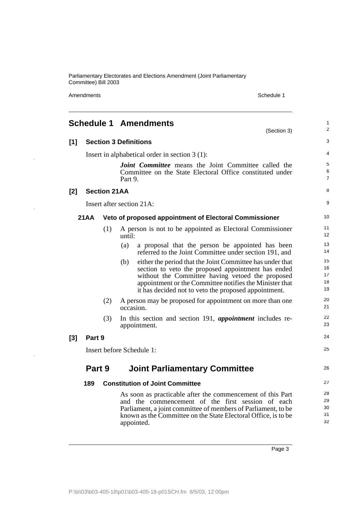Amendments Schedule 1

 $\ddot{\phantom{1}}$ 

 $\overline{\phantom{a}}$ 

 $\hat{\boldsymbol{\gamma}}$ 

<span id="page-8-0"></span>

|     |        |                     | <b>Schedule 1 Amendments</b><br>(Section 3)                                                                                                                                                                                                                                                   | 1<br>$\overline{2}$        |
|-----|--------|---------------------|-----------------------------------------------------------------------------------------------------------------------------------------------------------------------------------------------------------------------------------------------------------------------------------------------|----------------------------|
| [1] |        |                     | <b>Section 3 Definitions</b>                                                                                                                                                                                                                                                                  | 3                          |
|     |        |                     | Insert in alphabetical order in section $3(1)$ :                                                                                                                                                                                                                                              | 4                          |
|     |        |                     | <b>Joint Committee</b> means the Joint Committee called the<br>Committee on the State Electoral Office constituted under<br>Part 9.                                                                                                                                                           | 5<br>6<br>$\overline{7}$   |
| [2] |        | <b>Section 21AA</b> |                                                                                                                                                                                                                                                                                               | 8                          |
|     |        |                     | Insert after section 21A:                                                                                                                                                                                                                                                                     | 9                          |
|     | 21AA   |                     | Veto of proposed appointment of Electoral Commissioner                                                                                                                                                                                                                                        | 10                         |
|     |        | (1)                 | A person is not to be appointed as Electoral Commissioner<br>until:                                                                                                                                                                                                                           | 11<br>12                   |
|     |        |                     | (a)<br>a proposal that the person be appointed has been<br>referred to the Joint Committee under section 191, and                                                                                                                                                                             | 13<br>14                   |
|     |        |                     | (b)<br>either the period that the Joint Committee has under that<br>section to veto the proposed appointment has ended<br>without the Committee having vetoed the proposed<br>appointment or the Committee notifies the Minister that<br>it has decided not to veto the proposed appointment. | 15<br>16<br>17<br>18<br>19 |
|     |        | (2)                 | A person may be proposed for appointment on more than one<br>occasion.                                                                                                                                                                                                                        | 20<br>21                   |
|     |        | (3)                 | In this section and section 191, <i>appointment</i> includes re-<br>appointment.                                                                                                                                                                                                              | 22<br>23                   |
| [3] | Part 9 |                     |                                                                                                                                                                                                                                                                                               | 24                         |
|     |        |                     | Insert before Schedule 1:                                                                                                                                                                                                                                                                     | 25                         |
|     | Part 9 |                     | <b>Joint Parliamentary Committee</b>                                                                                                                                                                                                                                                          | 26                         |
|     | 189    |                     | <b>Constitution of Joint Committee</b>                                                                                                                                                                                                                                                        | 27                         |
|     |        |                     | As soon as practicable after the commencement of this Part<br>and the commencement of the first session of each<br>Parliament, a joint committee of members of Parliament, to be<br>known as the Committee on the State Electoral Office, is to be<br>appointed.                              | 28<br>29<br>30<br>31<br>32 |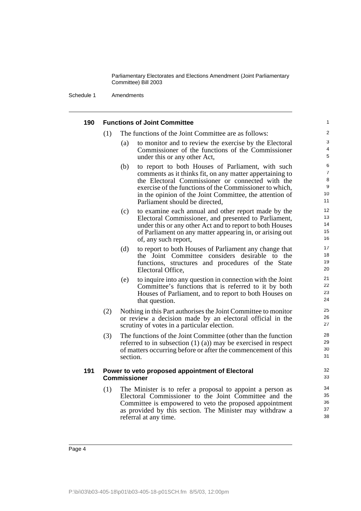Schedule 1 Amendments

| 190 |     | <b>Functions of Joint Committee</b>                                                                                                                                                                                                                                                                                              | 1                                         |
|-----|-----|----------------------------------------------------------------------------------------------------------------------------------------------------------------------------------------------------------------------------------------------------------------------------------------------------------------------------------|-------------------------------------------|
|     | (1) | The functions of the Joint Committee are as follows:                                                                                                                                                                                                                                                                             | $\overline{c}$                            |
|     |     | to monitor and to review the exercise by the Electoral<br>(a)<br>Commissioner of the functions of the Commissioner<br>under this or any other Act,                                                                                                                                                                               | 3<br>4<br>5                               |
|     |     | to report to both Houses of Parliament, with such<br>(b)<br>comments as it thinks fit, on any matter appertaining to<br>the Electoral Commissioner or connected with the<br>exercise of the functions of the Commissioner to which,<br>in the opinion of the Joint Committee, the attention of<br>Parliament should be directed, | 6<br>$\overline{7}$<br>8<br>9<br>10<br>11 |
|     |     | to examine each annual and other report made by the<br>(c)<br>Electoral Commissioner, and presented to Parliament,<br>under this or any other Act and to report to both Houses<br>of Parliament on any matter appearing in, or arising out<br>of, any such report,                                                               | 12<br>13<br>14<br>15<br>16                |
|     |     | (d)<br>to report to both Houses of Parliament any change that<br>the Joint Committee considers desirable to the<br>functions, structures and procedures of the State<br>Electoral Office,                                                                                                                                        | 17<br>18<br>19<br>20                      |
|     |     | to inquire into any question in connection with the Joint<br>(e)<br>Committee's functions that is referred to it by both<br>Houses of Parliament, and to report to both Houses on<br>that question.                                                                                                                              | 21<br>22<br>23<br>24                      |
|     | (2) | Nothing in this Part authorises the Joint Committee to monitor<br>or review a decision made by an electoral official in the<br>scrutiny of votes in a particular election.                                                                                                                                                       | 25<br>26<br>27                            |
|     | (3) | The functions of the Joint Committee (other than the function<br>referred to in subsection $(1)$ $(a)$ ) may be exercised in respect<br>of matters occurring before or after the commencement of this<br>section.                                                                                                                | 28<br>29<br>30<br>31                      |
| 191 |     | Power to veto proposed appointment of Electoral<br>Commissioner                                                                                                                                                                                                                                                                  | 32<br>33                                  |
|     | (1) | The Minister is to refer a proposal to appoint a person as<br>Electoral Commissioner to the Joint Committee and the<br>Committee is empowered to veto the proposed appointment<br>as provided by this section. The Minister may withdraw a<br>referral at any time.                                                              | 34<br>35<br>36<br>37<br>38                |
|     |     |                                                                                                                                                                                                                                                                                                                                  |                                           |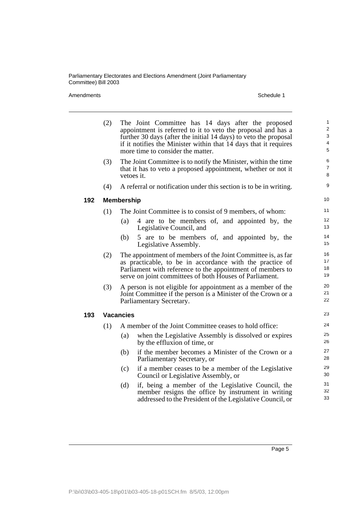|     | (2) | The Joint Committee has 14 days after the proposed<br>appointment is referred to it to veto the proposal and has a<br>further 30 days (after the initial 14 days) to veto the proposal<br>if it notifies the Minister within that 14 days that it requires<br>more time to consider the matter. | 1<br>$\overline{\mathbf{c}}$<br>3<br>4<br>5 |
|-----|-----|-------------------------------------------------------------------------------------------------------------------------------------------------------------------------------------------------------------------------------------------------------------------------------------------------|---------------------------------------------|
|     | (3) | The Joint Committee is to notify the Minister, within the time<br>that it has to veto a proposed appointment, whether or not it<br>vetoes it.                                                                                                                                                   | 6<br>7<br>8                                 |
|     | (4) | A referral or notification under this section is to be in writing.                                                                                                                                                                                                                              | 9                                           |
| 192 |     | <b>Membership</b>                                                                                                                                                                                                                                                                               | 10                                          |
|     | (1) | The Joint Committee is to consist of 9 members, of whom:                                                                                                                                                                                                                                        | 11                                          |
|     |     | 4 are to be members of, and appointed by, the<br>(a)<br>Legislative Council, and                                                                                                                                                                                                                | 12<br>13                                    |
|     |     | 5 are to be members of, and appointed by, the<br>(b)<br>Legislative Assembly.                                                                                                                                                                                                                   | 14<br>15                                    |
|     | (2) | The appointment of members of the Joint Committee is, as far<br>as practicable, to be in accordance with the practice of<br>Parliament with reference to the appointment of members to<br>serve on joint committees of both Houses of Parliament.                                               | 16<br>17<br>18<br>19                        |
|     | (3) | A person is not eligible for appointment as a member of the<br>Joint Committee if the person is a Minister of the Crown or a<br>Parliamentary Secretary.                                                                                                                                        | 20<br>21<br>22                              |
| 193 |     | <b>Vacancies</b>                                                                                                                                                                                                                                                                                | 23                                          |
|     | (1) | A member of the Joint Committee ceases to hold office:                                                                                                                                                                                                                                          | 24                                          |
|     |     | when the Legislative Assembly is dissolved or expires<br>(a)<br>by the effluxion of time, or                                                                                                                                                                                                    | 25<br>26                                    |
|     |     | if the member becomes a Minister of the Crown or a<br>(b)<br>Parliamentary Secretary, or                                                                                                                                                                                                        | 27<br>28                                    |
|     |     | if a member ceases to be a member of the Legislative<br>(c)<br>Council or Legislative Assembly, or                                                                                                                                                                                              | 29<br>30                                    |
|     |     | if, being a member of the Legislative Council, the<br>(d)<br>member resigns the office by instrument in writing<br>addressed to the President of the Legislative Council, or                                                                                                                    | 31<br>32<br>33                              |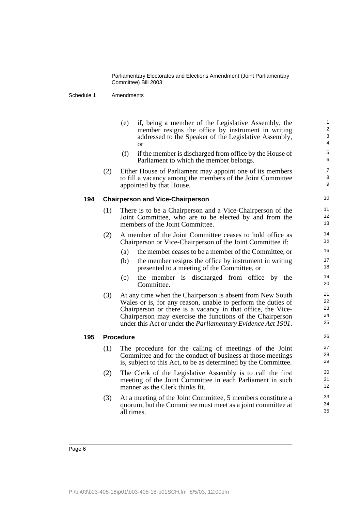Schedule 1 Amendments

- (e) if, being a member of the Legislative Assembly, the member resigns the office by instrument in writing addressed to the Speaker of the Legislative Assembly, or (f) if the member is discharged from office by the House of Parliament to which the member belongs. (2) Either House of Parliament may appoint one of its members to fill a vacancy among the members of the Joint Committee appointed by that House. **194 Chairperson and Vice-Chairperson** (1) There is to be a Chairperson and a Vice-Chairperson of the Joint Committee, who are to be elected by and from the members of the Joint Committee. (2) A member of the Joint Committee ceases to hold office as Chairperson or Vice-Chairperson of the Joint Committee if: (a) the member ceases to be a member of the Committee, or (b) the member resigns the office by instrument in writing presented to a meeting of the Committee, or (c) the member is discharged from office by the Committee. (3) At any time when the Chairperson is absent from New South Wales or is, for any reason, unable to perform the duties of Chairperson or there is a vacancy in that office, the Vice-Chairperson may exercise the functions of the Chairperson under this Act or under the *Parliamentary Evidence Act 1901*. **195 Procedure** (1) The procedure for the calling of meetings of the Joint Committee and for the conduct of business at those meetings is, subject to this Act, to be as determined by the Committee. 10 11 12 13 14 15 16 17 18 19 20 21 22 23 24 25 26 27 28 29
	- (2) The Clerk of the Legislative Assembly is to call the first meeting of the Joint Committee in each Parliament in such manner as the Clerk thinks fit.
	- (3) At a meeting of the Joint Committee, 5 members constitute a quorum, but the Committee must meet as a joint committee at all times.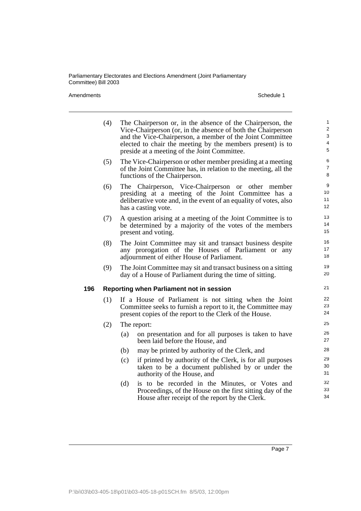|     | (4) | The Chairperson or, in the absence of the Chairperson, the<br>Vice-Chairperson (or, in the absence of both the Chairperson<br>and the Vice-Chairperson, a member of the Joint Committee<br>elected to chair the meeting by the members present) is to<br>preside at a meeting of the Joint Committee. | 1<br>$\overline{\mathbf{c}}$<br>3<br>4<br>5 |
|-----|-----|-------------------------------------------------------------------------------------------------------------------------------------------------------------------------------------------------------------------------------------------------------------------------------------------------------|---------------------------------------------|
|     | (5) | The Vice-Chairperson or other member presiding at a meeting<br>of the Joint Committee has, in relation to the meeting, all the<br>functions of the Chairperson.                                                                                                                                       | 6<br>7<br>8                                 |
|     | (6) | The Chairperson, Vice-Chairperson or other member<br>presiding at a meeting of the Joint Committee has a<br>deliberative vote and, in the event of an equality of votes, also<br>has a casting vote.                                                                                                  | 9<br>10<br>11<br>12                         |
|     | (7) | A question arising at a meeting of the Joint Committee is to<br>be determined by a majority of the votes of the members<br>present and voting.                                                                                                                                                        | 13<br>14<br>15                              |
|     | (8) | The Joint Committee may sit and transact business despite<br>any prorogation of the Houses of Parliament or any<br>adjournment of either House of Parliament.                                                                                                                                         | 16<br>17<br>18                              |
|     | (9) | The Joint Committee may sit and transact business on a sitting<br>day of a House of Parliament during the time of sitting.                                                                                                                                                                            | 19<br>20                                    |
| 196 |     | Reporting when Parliament not in session                                                                                                                                                                                                                                                              | 21                                          |
|     | (1) | If a House of Parliament is not sitting when the Joint<br>Committee seeks to furnish a report to it, the Committee may<br>present copies of the report to the Clerk of the House.                                                                                                                     | 22<br>23<br>24                              |
|     | (2) | The report:                                                                                                                                                                                                                                                                                           | 25                                          |
|     |     | on presentation and for all purposes is taken to have<br>(a)<br>been laid before the House, and                                                                                                                                                                                                       | 26<br>27                                    |
|     |     | may be printed by authority of the Clerk, and<br>(b)                                                                                                                                                                                                                                                  | 28                                          |
|     |     | if printed by authority of the Clerk, is for all purposes<br>(c)<br>taken to be a document published by or under the<br>authority of the House, and                                                                                                                                                   | 29<br>30<br>31                              |
|     |     | is to be recorded in the Minutes, or Votes and<br>(d)<br>Proceedings, of the House on the first sitting day of the<br>House after receipt of the report by the Clerk.                                                                                                                                 | 32<br>33<br>34                              |
|     |     |                                                                                                                                                                                                                                                                                                       |                                             |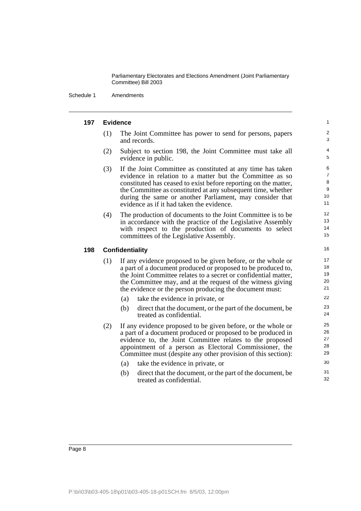Schedule 1 Amendments

#### **197 Evidence**

(1) The Joint Committee has power to send for persons, papers and records.

- (2) Subject to section 198, the Joint Committee must take all evidence in public.
- (3) If the Joint Committee as constituted at any time has taken evidence in relation to a matter but the Committee as so constituted has ceased to exist before reporting on the matter, the Committee as constituted at any subsequent time, whether during the same or another Parliament, may consider that evidence as if it had taken the evidence.
- (4) The production of documents to the Joint Committee is to be in accordance with the practice of the Legislative Assembly with respect to the production of documents to select committees of the Legislative Assembly.

### **198 Confidentiality**

- (1) If any evidence proposed to be given before, or the whole or a part of a document produced or proposed to be produced to, the Joint Committee relates to a secret or confidential matter, the Committee may, and at the request of the witness giving the evidence or the person producing the document must:
	- (a) take the evidence in private, or
	- (b) direct that the document, or the part of the document, be treated as confidential.
- (2) If any evidence proposed to be given before, or the whole or a part of a document produced or proposed to be produced in evidence to, the Joint Committee relates to the proposed appointment of a person as Electoral Commissioner, the Committee must (despite any other provision of this section):
	- (a) take the evidence in private, or
	- (b) direct that the document, or the part of the document, be treated as confidential.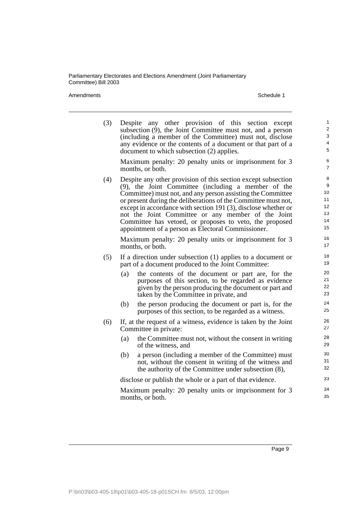| (3) |     | Despite any other provision of this section except<br>subsection $(9)$ , the Joint Committee must not, and a person<br>(including a member of the Committee) must not, disclose<br>any evidence or the contents of a document or that part of a<br>document to which subsection (2) applies.                                                                                                                                                                                                      | $\mathbf{1}$<br>$\overline{2}$<br>3<br>4<br>5 |
|-----|-----|---------------------------------------------------------------------------------------------------------------------------------------------------------------------------------------------------------------------------------------------------------------------------------------------------------------------------------------------------------------------------------------------------------------------------------------------------------------------------------------------------|-----------------------------------------------|
|     |     | Maximum penalty: 20 penalty units or imprisonment for 3<br>months, or both.                                                                                                                                                                                                                                                                                                                                                                                                                       | 6<br>$\overline{7}$                           |
| (4) |     | Despite any other provision of this section except subsection<br>$(9)$ , the Joint Committee (including a member of the<br>Committee) must not, and any person assisting the Committee<br>or present during the deliberations of the Committee must not,<br>except in accordance with section 191 (3), disclose whether or<br>not the Joint Committee or any member of the Joint<br>Committee has vetoed, or proposes to veto, the proposed<br>appointment of a person as Electoral Commissioner. | 8<br>9<br>10<br>11<br>12<br>13<br>14<br>15    |
|     |     | Maximum penalty: 20 penalty units or imprisonment for 3<br>months, or both.                                                                                                                                                                                                                                                                                                                                                                                                                       | 16<br>17                                      |
| (5) |     | If a direction under subsection $(1)$ applies to a document or<br>part of a document produced to the Joint Committee:                                                                                                                                                                                                                                                                                                                                                                             | 18<br>19                                      |
|     | (a) | the contents of the document or part are, for the<br>purposes of this section, to be regarded as evidence<br>given by the person producing the document or part and<br>taken by the Committee in private, and                                                                                                                                                                                                                                                                                     | 20<br>21<br>22<br>23                          |
|     | (b) | the person producing the document or part is, for the<br>purposes of this section, to be regarded as a witness.                                                                                                                                                                                                                                                                                                                                                                                   | 24<br>25                                      |
| (6) |     | If, at the request of a witness, evidence is taken by the Joint<br>Committee in private:                                                                                                                                                                                                                                                                                                                                                                                                          | 26<br>27                                      |
|     | (a) | the Committee must not, without the consent in writing<br>of the witness, and                                                                                                                                                                                                                                                                                                                                                                                                                     | 28<br>29                                      |
|     | (b) | a person (including a member of the Committee) must<br>not, without the consent in writing of the witness and<br>the authority of the Committee under subsection (8),                                                                                                                                                                                                                                                                                                                             | 30<br>31<br>32                                |
|     |     | disclose or publish the whole or a part of that evidence.                                                                                                                                                                                                                                                                                                                                                                                                                                         | 33                                            |
|     |     | Maximum penalty: 20 penalty units or imprisonment for 3<br>months, or both.                                                                                                                                                                                                                                                                                                                                                                                                                       | 34<br>35                                      |
|     |     |                                                                                                                                                                                                                                                                                                                                                                                                                                                                                                   |                                               |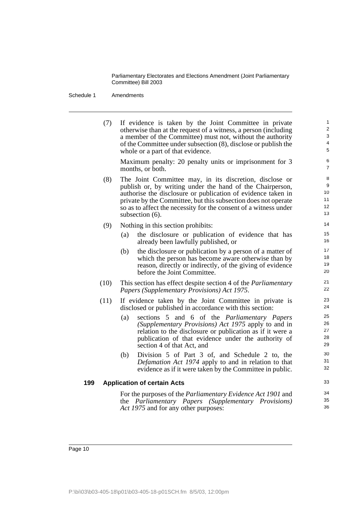Schedule 1 Amendments

|     | (7)  |     | If evidence is taken by the Joint Committee in private<br>otherwise than at the request of a witness, a person (including<br>a member of the Committee) must not, without the authority<br>of the Committee under subsection (8), disclose or publish the<br>whole or a part of that evidence.                                                   | $\mathbf{1}$<br>$\overline{2}$<br>3<br>$\overline{4}$<br>5 |
|-----|------|-----|--------------------------------------------------------------------------------------------------------------------------------------------------------------------------------------------------------------------------------------------------------------------------------------------------------------------------------------------------|------------------------------------------------------------|
|     |      |     | Maximum penalty: 20 penalty units or imprisonment for 3<br>months, or both.                                                                                                                                                                                                                                                                      | 6<br>$\overline{7}$                                        |
|     | (8)  |     | The Joint Committee may, in its discretion, disclose or<br>publish or, by writing under the hand of the Chairperson,<br>authorise the disclosure or publication of evidence taken in<br>private by the Committee, but this subsection does not operate<br>so as to affect the necessity for the consent of a witness under<br>subsection $(6)$ . | 8<br>9<br>10 <sup>°</sup><br>11<br>12 <sup>2</sup><br>13   |
|     | (9)  |     | Nothing in this section prohibits:                                                                                                                                                                                                                                                                                                               | 14                                                         |
|     |      | (a) | the disclosure or publication of evidence that has<br>already been lawfully published, or                                                                                                                                                                                                                                                        | 15<br>16                                                   |
|     |      | (b) | the disclosure or publication by a person of a matter of<br>which the person has become aware otherwise than by<br>reason, directly or indirectly, of the giving of evidence<br>before the Joint Committee.                                                                                                                                      | 17<br>18<br>19<br>20                                       |
|     | (10) |     | This section has effect despite section 4 of the <i>Parliamentary</i><br>Papers (Supplementary Provisions) Act 1975.                                                                                                                                                                                                                             | 21<br>22                                                   |
|     | (11) |     | If evidence taken by the Joint Committee in private is<br>disclosed or published in accordance with this section:                                                                                                                                                                                                                                | 23<br>24                                                   |
|     |      | (a) | sections 5 and 6 of the Parliamentary Papers<br>(Supplementary Provisions) Act 1975 apply to and in<br>relation to the disclosure or publication as if it were a<br>publication of that evidence under the authority of<br>section 4 of that Act, and                                                                                            | 25<br>26<br>27<br>28<br>29                                 |
|     |      | (b) | Division 5 of Part 3 of, and Schedule 2 to, the<br>Defamation Act 1974 apply to and in relation to that<br>evidence as if it were taken by the Committee in public.                                                                                                                                                                              | 30<br>31<br>32                                             |
| 199 |      |     | <b>Application of certain Acts</b>                                                                                                                                                                                                                                                                                                               | 33                                                         |
|     |      |     | For the purposes of the <i>Parliamentary Evidence Act 1901</i> and<br>the Parliamentary Papers (Supplementary Provisions)<br>Act 1975 and for any other purposes:                                                                                                                                                                                | 34<br>35<br>36                                             |
|     |      |     |                                                                                                                                                                                                                                                                                                                                                  |                                                            |